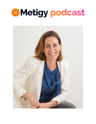

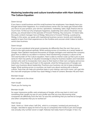# **Mastering leadership and culture transformation with Hiam Sakakini, The Culture Equation**

## Daren (00:04):

If you have a small business and this small business has employees, how deeply have you thought about their happiness. As a small business owner, this can easily get missed while you focus on your product, your service, operations, marketing, sales, legal, finance and so much more. To find out why employee happiness, leadership and culture should be a top priority, you should listen to this episode of Forward Thinking. Hey everyone, I'm Daren lake, the audio content manager here at Metigy. Welcome to Forward Thinking, a podcast by Metigy. In this series, we speak with inspirational business owners, brands and marketing experts to learn from their experiences on the frontline and uncover what it takes to build a world class business.

## Daren (00:52):

If you've ever wondered what great companies do differently than the rest, then you've come to the right podcast episode. While working across 13 countries as a senior leader at Google, Hiam Sakakini mentored thousands of Google managers and watched the company grow from 21 billion to 110 billion in revenue. Now transforming company's culture as the CEO and founder of The Culture equation, Hiam is able to mentor scale up that a pre or post series B. Hiam has plenty of valuable knowledge to drop for business leaders and motivated workers who wish to incorporate more value to their teams in their own company and across industries. A few things you'll learn in this episode, what the hiring process of Google can teach your business about leadership. Practices your business can do to keep employees happy. What working across 13 countries can teach you about working with a diverse culture. Tools that can help you prioritize tasks in your startup, and much more. Let's get into the chat with employee number four slash Metigy's head of content, Brendan Hill and Hiam.

Brendan (01:55): Hiam, welcome to the show.

Hiam (01:56): Thank you for having me.

#### Brendan (01:58):

So super impressive profile, early employee at Google, all the way back in 2007 and something that caught my eye on your profile was that you love discovering what companies do differently from the rest. So was this something that you learned at Google and other companies that you've worked at?

#### Hiam (02:15):

Yeah, I think so. I think when I left DHL, which is a company I worked just previously to Google, I decided to apply for kind of my top 10 companies that I'd like to join and Google was actually only number seven or eight. Nobody had really heard of Google. In fact, my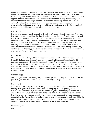father said Google schmoogle who calls our company such a silly name. And it was a lot of banks that were at the top and some well known names, like for example, Chanel. And I remember going through an interview process for all of them around about the same time, I applied for them all at the same time and then I started interviewing. And the thing that stood out to me about Google was the, first of all that interview process, really was so different. And really to me at the time, quite strange, because they were asking me very much about my philosophy, my views, my attitude, my motivations, and just a sliver about my experience, which was the 99% of all the other interviews.

## Hiam (03:13):

It was a long process, much longer than the others. Probably three times longer. They really to make sure they had not just the right fit for this job, but the right fit for the company. And then they had multiple layers of sign off and really interesting. So that peaked my interest because I think if it wasn't even for that interview process, I don't think I'd have been that interested. It was just another .com, it was just another internet company and I was just kind of mildly curious, but that interview process really stood out to me. So I think in terms of what do the best companies do differently from the rest? The very first thing is I think they really hire right. And they pay attention to that hiring process and they hire more for attitude, motivation, culture fit than they do for skills.

## Hiam (04:00):

Skills are very important, but they're not the be all and end all. And they're not hiring for just the right, that particular job that's open now, they're thinking about future jobs for this particular person or will they enjoy career path with us? What kinds of things could we see them doing in the future? And do they have leadership is a big one for Google. Everyone was hired in a quarter of the hiring process, an interview process was around your leadership style, even though you might not be hired immediately for a leadership role. So that was really interesting.

# Brendan (04:33):

Something else that's interesting on your LinkedIn profile, speaking of leadership, I see that you managed over 1000 different managers at Google while you were there.

#### Hiam (04:41):

Well, no, I didn't manage them. I was doing leadership development for managers. So helping managers to lead really, really well in a company that was growing super fast. Which really meant that if you wanted the opportunity to be a manager, it was coming at you pretty quick. But usually this is a kind of a pitfall that most companies fall into is that they hire, or they promote somebody into a manager role because they have exceeded expectations. So if you're in sales and you want to be a sales manager, usually they'll hire the person who is constantly exceeded expectations. And so they've hit their target, every quarter. Does that necessarily mean you're going to be a great manager?

Brendan (05:24): No.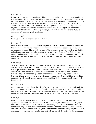## Hiam (05:26):

It could. Yeah, but not necessarily. So I think one thing I realized over that time, especially in that leadership development type role was that we've got to think differently about how we promote people into managing other people. What are we looking for? What kinds of things make a great, great manager or great leader. And thankfully working at Google, they actually did a lot of research around this. And they published that and it's all up there and anyone can have a look at what was termed at the time project oxygen. So there are 10 great traits of top leaders and managers that you can look up. But the first one, if you're interested is they are a great, great coach.

## Brendan (06:09):

Okay. So, yeah. So in what ways would they coach?

# Hiam (06:13):

I think what's exciting about coaching being the one attribute of great leaders is that it flips the whole thinking around autocratic leadership to more servant leadership. So you are somebody who doesn't have all the answers. The company is moving at such a rate that it's going to come up against challenges that we've never were faced before. So the only way of overcoming those challenges is through your people, not moving your people around like pawns, but actually working through them. And the only way you can do that is ask them questions.

# Hiam (06:49):

So when they come to you with a challenge, rather than give them what you think is the answer, you ask them the questions that help them to come up with the answer themselves that helps them feel more empowered. It helps them come up with answers in the future without even coming to you. It frees up your time for more strategic things. And to be honest, it helps them to then approach other people in the same way, whether it's when they might have to answer customers with specific challenges, they might take a coaching approach, which would result in a deeper relationship with their customers. That's a good knock on effect.

# Brendan (07:24):

And I mean, businesses, these days, there's so much focus on acquisition of new talent. So, I mean, you worked a lot with culture at Google as well. So I mean, what type of areas did and practices did you instill to make sure the staff were happy and you didn't have to waste time hiring new staff and that continuous influx of newer trainings and everything like that.

#### Hiam (07:47):

Look, I think if you were to wait your time, you always will wait your time more on hiring again. And I think that is the secret sauce in terms of hire right. And then a lot of things you don't have to remediate later. And I think the other thing, and in terms of culture, which was really interesting for me was the onboarding process. And I think that's kind of folklore and I see that in movies like the intern, everyone's wearing their crazy hats and going through this ridiculous onboarding process, but it was really where you felt the culture in the most acute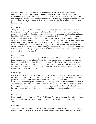way. And you should feel your company's culture in the most acute way at the very beginning. This should feel different. There should be a different vibe. It should be something almost tangible. I see culture as kind of your autoimmune system. It fights the bad things that try and attack an organism or a thing, which is your organization and it allows good things in. So if you set that culture up right from the get go, you don't have to worry later on in life.

## Hiam (08:54):

Things that might enter that are kind of not right, will eventually find their way out, much faster than if you didn't set up this wonderful culture at the very beginning. And culture doesn't have to look like Google, everyone that puts time and effort and intention and good intent into their culture, it's their culture, it's very unique to them and it's great for them. I think in the absence of doing any of that, you have nothing, you have no personality. The organization doesn't feel welcoming, it just feels kind of haphazard, people aren't really sure where they're going, what they stand for, why they're there, they're questioning whether they even should be there and it doesn't feel good. So I think putting time and effort into your culture, your values, your purpose, what you stand for, what you're there to achieve and helping people to really get to grips with that at the very beginning of their career with you is time well spent and invested.

## Brendan (09:50):

Yeah. I think one of the best examples that I've seen, all of those different things executed is Zappos, the shoe company in Las Vegas. So I went on their tour. I mean, they say that it is harder to get into Zappos than it is to Harvard now. Yes, this is, so I mean, they have lots of great initiatives. How can small and medium businesses in Australia pick up on these great examples of the Googles, the Zappos. What can they do to motivate and keep their staff happy and improve their culture?

# Hiam (10:23):

I think again, first and foremost is really put time and effort into thinking about this. This isn't just something you do as a once off, when you set up your company and you kind of write your constitution and you think these values up and you put them down on paper and that's it. It's actually something that's baked into your strategic plan. It's not a footnote. It is core to your strategic plan. So front and center, because it underpins everything. Strategic plans will last maybe a year max, the way things are moving so fast these days, but culture lasts forever. So put time and effort an intent into designing it and then sustaining it for the long term.

#### Brendan (11:05):

I guess another good example is Virgin. So Richard Branson developed the culture early on. And to this day, you get any communication from Virgin, it's all in that same brand and tone. Yeah.

#### Hiam (11:12):

Yeah. Even small things like that. Developing that internal brand, thinking about your internal, almost it doesn't have to be the exact same setup as your external brand. You can have an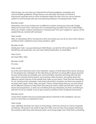internal logo, you can have your internal kind of brand guidelines, templates and communication guidelines, things that you use internally. Obviously an intranet is ridiculously important and so many companies forget this step. How you use an internal system to communicate with your ever growing employer or employee base. Yeah.

#### Brendan (11:46):

Interesting. And so you worked over 15 different countries during your time with Google. What can we learn from, obviously we've mentioned big examples from the United States. What can smaller, medium businesses in Australia learn from your insights to, I guess, all the people that you worked with overseas?

#### Hiam (12:06):

Well, it's interesting. We're moving into a time now where you can do so much with a diverse workforce that's scattered across many locations, right?

## Brendan (12:16):

Distributed. Yeah. I was just listening to Matt Mullen, we talk the CEO and founder of WordPress and Automatic, has over 1000 staff all distributed, no head office.

Hiam (12:27): No head office. Yeah.

Brendan (12:28): It's crazy.

#### Hiam (12:28):

So at the end it becomes even more important, I guess, to think about that culture, because it's not going to be contingent on this vibe that you get from an actual office space anymore. So your virtual walls are probably your communication channels and things like that. But also I think culturally diverse teams, just knowing a little bit about, and asking about the different cultural nuances of the people that make up your team. I think that was interesting for me, having a team of people, I was based obviously in Australia, but there was people in my team from Japan, China, India, and yeah. There's certain things that you can and should do for different cultures to make them feel welcome and to make sure that their views are heard and perspectives, so that was something that was interesting. So that's something to take time to do as a leader, if you've got a diverse workforce that's scattered everywhere.

#### Brendan (13:22):

I know that's another area you're passionate about is diversity in the workplace. Can you touch on why that's so important to you?

#### Hiam (13:29):

Yeah, definitely. Diversity can mean so many things. I think we overuse it in terms of gender, sometimes. Obviously it can relate to age and I think now we have more people reentering the workforce after they retire because yeah, we're living longer. And I think that's something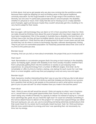to think about. And we've got people who are also now coming into the workforce earlier, because there might be skipping uni and not finding value in that typical traditional university education. So this huge breadth in terms of age range in the workforce, that's diversity, but one area I'm particularly passionate about is around people, the disability, whether it's physical or neuro. And I really feel like we're missing out on a really talented pool of people, again just because maybe they couldn't physically get into a building or it's very hard to adapt for their needs.

## Hiam (14:27):

But now again, with technology they can dial in or VC in from anywhere from their. So I think we really should be thinking more about this pool of people who have been neglected, who have been marginalized. One in five people in Australia have a disability. And less than 50% of them have a job, but they all have incredible talents. And as well as those, for example, on the autism spectrum, I think that the rate of employment for them is even lower and yet look at what they can do when it comes to technology, big data, software development, testing. They're just such an overlooked population. So massively passionate about that. Give a lot of my time to this particular area.

#### Brendan (15:13):

Amazing. And can you tell us more about remarkable, the project that you're involved with?

#### Hiam (15:17):

Yeah. Remarkable is a accelerator program that's focusing on tech startups in the disability space. So helping again, people with disability to be more socially included, whether that's from a physically getting them into the workforce or society or just enjoying more experiences. So using technology from a number of different angles. And what I do for remarkable is I offer my time to mentor a startup, one startup for each round. So I can help them in a more tangible, useful way than just popping in and out every now and again.

# Brendan (15:57):

Yeah. Awesome. Another interesting thing that I saw on your bio is that you like to talk about mistakes. So obviously, it is a bit of a cliche as well that mistakes are the key to our success, but a question that we like to ask people on the podcast as well is what advice would you give to your 20 year old self? So what mistakes have you made in the last few years?

#### Hiam (16:22):

Yeah, I think 20 year old self would be around. I think not saying no when I was in business as in, I would have so many great opportunities that I found it very hard to say no's. But I wasn't being very mindful of literally my capacity to deliver. So instead of saying no, I should have said things like, great, do you need this right now? Or could we schedule something in the not too distant future to deliver on this project? Or I should have spaced things out rather than just saying yes, yes, yes, yes, yes to everything and being extremely excited about what that could mean for my career, but it eventually meant burnout. Yeah. So I think just being a little bit more careful about my energy and how I was spending that, not necessarily my time, but my energy.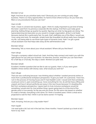## Brendan (17:14):

Right. And how do you prioritize tasks now? Obviously you are running an early stage business. There's so many opportunities. It's hard to know where to focus. Do you have any filters or any procedures that you use now?

## Hiam (17:28):

Yeah, I mean in a brand new business, again, I think it's really important to just kind of bring the tools I used from my previous corporate life into startup. And that is just really good planning. Setting things up quarter by quarter, figuring out what my big goals are doing. The typical planning and execution as you would in a larger organization, all be it a lot faster because startup life is particularly fast. So yeah, that's definitely one of the filters I would use. I love using new tools, for example, simple tools like [inaudible 00:18:04] really have changed my life. Just being able to use those type types of dynamic tools. Yeah. I've got a great virtual assistant now that helps take away all the administrative load.

#### Brendan (18:15):

Interesting. Tell us more about your virtual assistant. Where did you find them?

## Hiam (18:19):

Through a company called virtual hub. Yeah. And they help connect and match you with the right person for you and your business. So interview, process, and then you can have them for a half day or a full day, five days a week. Worked out quite well.

#### Brendan (18:36):

Excellent. Another question that we like to ask our guests, Hiam, is if you were given Aladdin's three wishes with Disney rules, what would you wish for?

#### Hiam (18:49):

That one was confusing because I was thinking about whether I wanted personal wishes or more from a professional workplace perspective. I'll give you both. On a personal, I have two, I am in the process of moving house and if I had Aladdin's wish, I would wish that somebody could just come in, pack everything up, move everything for me, do all that heavy lifting and unpack and have it all just perfectly put away in the new house because I'm dreading this. But from workplace perspective, I guess back to truly inclusive workplaces would be something I would wish for. And another thing I guess going back to of the kind of the gender point is true parody. So fair pay and you know, for the same role based on whether it's male or female, everything is the same. So I think a hundred years I think is what we're projected to wait for that. I think it can be done sooner. I'm hoping.

#### Brendan (19:51):

Yeah. Amazing. And are you a big reader Hiam?

# Hiam (19:56):

I do read quite a bit, but not in the last two, three months. I haven't picked up a book at all. I have to say. Yeah.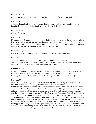Brendan (20:04):

Any books that you can recommend from the last couple of years to our audience?

#### Hiam (20:07):

Oh the last couple of years. Yeah. I mean there's everything that I learned at Google is beautifully summarized in the book work rules by Laszlo Bock.

#### Brendan (20:18):

Oh, yes. They may need to read that.

#### Hiam (20:18):

It's a good one. Obviously one of the things that as a game changer in the workplace is Carol Dweck's growth mindset. So that's another one I would highly recommend. One that I've found particularly interest is Dan Pink's latest one when, which is an interesting one. And that was more from the perspective of starting my own business.

#### Brendan (20:43):

And so you have got a new project underway. Tell us a bit more about that.

#### Hiam (20:46):

Yes. So the culture equation is the business I've founded. It specializes in culture change. Yeah. So if you're looking for easy tips on building a thriving culture that will sustain lots of changes, then sign up to the culture equations newsletter.

#### Brendan (21:08):

Amazing. Speaking of changes, I know you have some views on the future of work. So can you tell us your views around the future of work? I mean, small, medium businesses listening right now. What are their businesses going to look like in 10 to 20 to 30 years?

#### Hiam (21:26):

Oh, look, I think it's going to be probably smaller organizations doing a lot more with a lot less. And that's where technology seems to be coming in, in terms of being able to automate easily repeatable tasks. And that means as human beings, what we're left with is what computers and software can't do. And if you think about that, then human beings are uniquely placed to solve problems, really complex problems. They are uniquely creative and they are uniquely social. And so I feel like if we want to future proof ourselves, these are sort of areas that you need to make sure you focus on as you develop yourself. And that's something that I'm pretty passionate about and sort of the work that I do now is how to help human beings and organizations really future proof themselves for any business, because these are transferable skills, they're not just for one type of organization. And I think one of the biggest mistakes you can make is just honing your skills in a particular, say technical field and not focusing on these powerful business skills around creativity, around problem solving and around social networking and building relationships.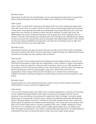## Brendan (22:51):

Interesting. So with the rise of automation, do you see people focusing more on areas that they're passionate about and that will stimulate more creativity in the workplace?

## Hiam (23:03):

Yeah, I think so. I think that's what we're all seeing. Aren't we, we're seeing this huge trend and I don't even think it's a trend, I think it's here to stay around people looking for purpose in their work. Knowing that their skills are transferable, that means that they can move very easily from one industry to another or from one job to another. So what's got to be, the differentiator has to be somewhere that they can do great work, that is going to have an impact. And that's what people are realizing more. So businesses are realizing they're going to have to answer this call and they have to articulate what differentiates them in the market. Are they just about profitability and growth or do they have something more to offer and what is that and how do we articulate that?

## Brendan (23:50):

Interesting. And have you got any stories that you can tell us from some of the companies that you're working with at the moment, after they've been through your different processes, what kind of changes are they seeing in their business?

#### Hiam (24:03):

Again, it's down to that really powerful storytelling and articulating what you stand for. So I find that the best place to start with any organization, small, medium or large is articulating your vision, what you stand for, what you want to achieve, what you can offer people who are going to come on the journey with you, the values that you, and by values, we really are about the behaviors that we want people to sign up to. When they come into our organization, those unique behaviors that will allow us to achieve that common goal together. So there's a lot that companies can think about as they set up themselves for the future.

#### Brendan (24:42):

So going down to a more personal level now, what's in your current business black box? What problem are you currently struggling with?

#### Hiam (24:51):

In my current business black box? Well, from a product perspective, it was the not knowing how to rapidly build great leaders that made me jump out of Google and into my own business. It was something I was allowed to experiment with at Google. I was given great leeway and in trying things. And then what I realized is traditional leadership development doesn't develop leaders. And why? I feel like it's too fluffy, people are put into a room and they're given an agenda and modules and everything is very nicely laid out for people. And that's just not the reality when it comes to leading in the crazy, volatile, ambiguous world that we're in. So I realized if you really want to create great leaders fast, you need to put them through real experience. You need to contextualize that experience. So help people to understand how they can bring that back to their real world really, really quickly.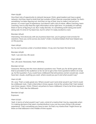## Hiam (25:56):

Give them lots of opportunity to network because I think, great leaders just have a great network. And they need to build that fast outside of their internal corporate bubble. So that's something I've been figuring out. And then on top of that, how to make it not just an in person, in a room type of experience, but blend it with a bit of online, offline coaching, team coaching, how to drip feed the right information at the right time. I'm probably on halfway there in terms of figuring it out. But I really feel like, it's something worth doing and worth doing well. It's kind of my black box, but it's when I'm really excited to crack.

## Brendan (26:40):

Interesting. And obviously with any business black box, you're going to look at tools for solutions. Have you come across any tools? Under a hundred dollars that have helped you on this journey.

Hiam (26:52):

So my own business under a hundred dollars, I'd say zero has been the best tool.

Brendan (26:56): Yeah. I use zero too, life saver.

Hiam (26:56): Yes. Life saver. Absolutely. Yeah, definitely.

# Brendan (27:03):

Awesome. Moving into the more abstract questions now. Thank you for all the great value that've provided to the audience so far. So we've got a few more questions before we wrap up. So first question, if you could have a billboard that all business owners would see, could have text, visuals, anything you want, where would you put it and what would it say?

#### Hiam (27:28):

Oh, wow. That's a really great one. Where would I put it and what would it say? And it could be a billboard, look, I had a internship in times square. And at the window that I had, looked over times square. I think, if there's anywhere to have a billboard, it has to be times square in New York. That's like the billboard-

Brendan (27:49): Exposure.

Hiam (27:50):

Yeah. In terms of what would it say? Look, a kind of a mantra that I live by, especially when I'm making decisions that seem counterintuitive is you can buy every thing in life except experience. That's something you have to earn. So that's my mantra that I might throw up there on that billboard in the middle of time square.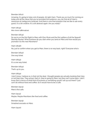Brendan (28:12):

Amazing. It's going to help a lot of people. All right Hiam. Thank you so much for coming on today and all the value that you've provided the audience, you can find all of Hiam's resources at metigy.com/podcast. And there is one final question that we like to ask every guest, it's a bit creative. It's a bit abstract again. Are you ready?

Hiam (28:33): Mm-hmm (affirmative).

Brendan (28:34):

So you're on the first flight to Mars with Elon Musk and the first settlers of all the SpaceX Starship Rocket. What business do you start when you land on Mars and how would you promote it to the new Marshians?

Hiam (28:46):

No, just to confirm when you get to Mars, there is no way back, right? Everyone who's-

Brendan (28:52): One way ticket.

Hiam (28:53): It's a one way ticket.

Brendan (28:54): That's up to you.

Hiam (28:54):

I don't know. I believe so. Is that not the deal, I thought people are actually booking their trips or not their trips. They actual, that's it, they're going to Mars, but they can't come back. I don't know. But in terms of what kind of business or something would I set up out there? I just can't do without food and coffee. So it would have to be a Cafe.

Brendan (29:13): Mars's first cafe.

Hiam (29:14): Maybe. Maybe Marshians like food and coffee.

Brendan (29:19): Smashed avocado on Mars.

Hiam (29:20):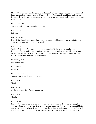Maybe. Who knows. Flat white, strong and equal. Yeah. So maybe that's something that will bring us together with our hosts on Mars. Maybe they'll like our type of food, and maybe they could have their own menu and we could have our own menu and try each other's out. I don't know.

Brendan (29:38):

You're already building that culture on Mars.

Hiam (29:41): Let's see.

Brendan (29:44):

I love it. So Hiam, I really appreciate your time today. Anything you'd like to say before we wrap up and how can people get in touch?

Hiam (29:50):

Yeah, definitely just follow us at the culture equation. We have social media set up on Facebook, Twitter and LinkedIn, and drop us any types of topics that you'd like us to focus on. And we will definitely be looking forward to answering those questions and topics in future newsletters, potentially some podcasts.

Brendan (30:12): Oh, very exciting.

Hiam (30:13): Of our own.

Brendan (30:13): Very exciting. I look forward to listening.

Hiam (30:19): Thank you.

Brendan (30:19): All right. It's been fun. Thanks for coming in.

Hiam (30:19): **Thanks** 

Daren (30:22):

From Metigy, You've just listened to Forward Thinking. Again, I'm Darren and Metigy hopes we helped you find more insights and tips into your business. To find out more about Metigy and get a listener exclusive three month free trial, visit us at metigy.com/podcast. And while you're there, go and check out some more episodes. If you like what you heard, please